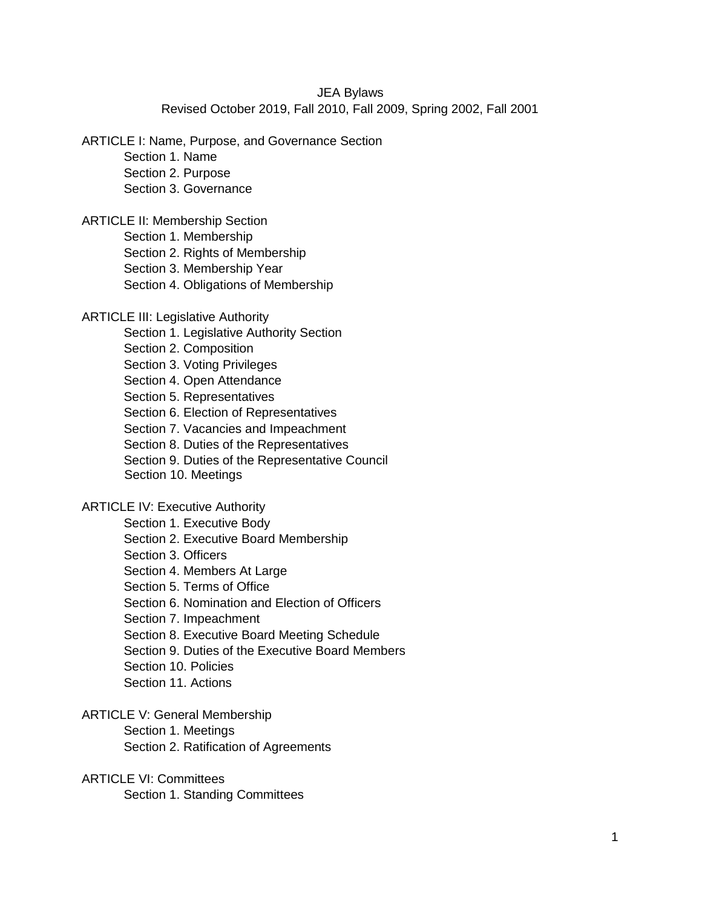JEA Bylaws Revised October 2019, Fall 2010, Fall 2009, Spring 2002, Fall 2001

ARTICLE I: Name, Purpose, and Governance Section

Section 1. Name Section 2. Purpose Section 3. Governance

ARTICLE II: Membership Section

Section 1. Membership

Section 2. Rights of Membership

Section 3. Membership Year

Section 4. Obligations of Membership

### ARTICLE III: Legislative Authority

Section 1. Legislative Authority Section

Section 2. Composition

Section 3. Voting Privileges

Section 4. Open Attendance

Section 5. Representatives

Section 6. Election of Representatives

Section 7. Vacancies and Impeachment

Section 8. Duties of the Representatives

Section 9. Duties of the Representative Council

Section 10. Meetings

### ARTICLE IV: Executive Authority

Section 1. Executive Body

Section 2. Executive Board Membership

Section 3. Officers

Section 4. Members At Large

Section 5. Terms of Office

Section 6. Nomination and Election of Officers

Section 7. Impeachment

Section 8. Executive Board Meeting Schedule

Section 9. Duties of the Executive Board Members

Section 10. Policies

Section 11. Actions

# ARTICLE V: General Membership

Section 1. Meetings

Section 2. Ratification of Agreements

### ARTICLE VI: Committees Section 1. Standing Committees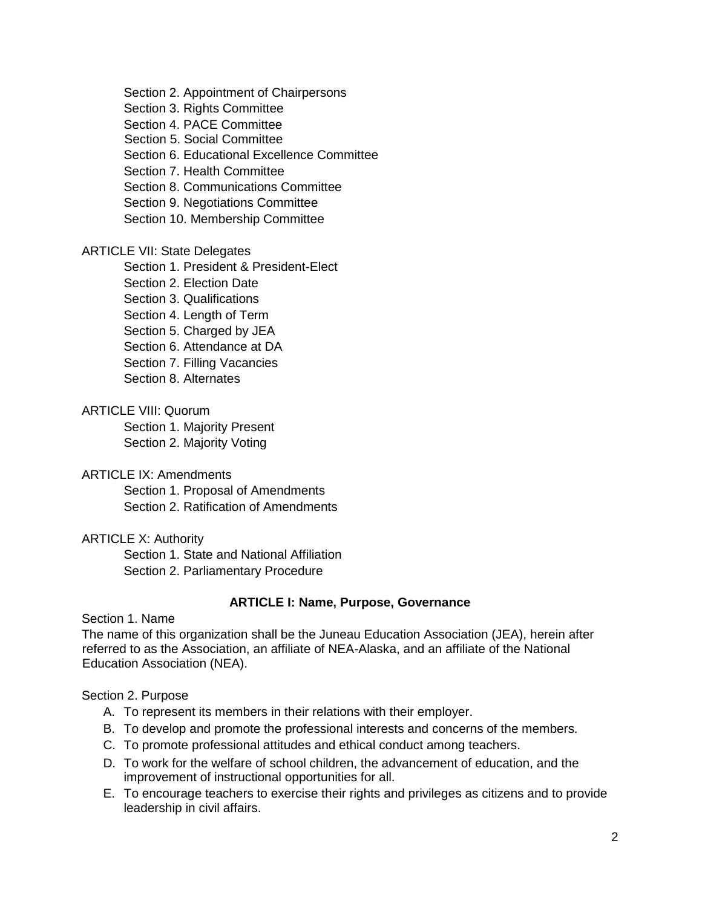Section 2. Appointment of Chairpersons

Section 3. Rights Committee

Section 4. PACE Committee

Section 5. Social Committee

Section 6. Educational Excellence Committee

Section 7. Health Committee

Section 8. Communications Committee

Section 9. Negotiations Committee

Section 10. Membership Committee

### ARTICLE VII: State Delegates

Section 1. President & President-Elect

Section 2. Election Date

Section 3. Qualifications

Section 4. Length of Term

Section 5. Charged by JEA

Section 6. Attendance at DA

Section 7. Filling Vacancies

Section 8. Alternates

## ARTICLE VIII: Quorum

Section 1. Majority Present Section 2. Majority Voting

#### ARTICLE IX: Amendments

Section 1. Proposal of Amendments Section 2. Ratification of Amendments

### ARTICLE X: Authority

Section 1. State and National Affiliation Section 2. Parliamentary Procedure

### **ARTICLE I: Name, Purpose, Governance**

Section 1. Name

The name of this organization shall be the Juneau Education Association (JEA), herein after referred to as the Association, an affiliate of NEA-Alaska, and an affiliate of the National Education Association (NEA).

### Section 2. Purpose

- A. To represent its members in their relations with their employer.
- B. To develop and promote the professional interests and concerns of the members.
- C. To promote professional attitudes and ethical conduct among teachers.
- D. To work for the welfare of school children, the advancement of education, and the improvement of instructional opportunities for all.
- E. To encourage teachers to exercise their rights and privileges as citizens and to provide leadership in civil affairs.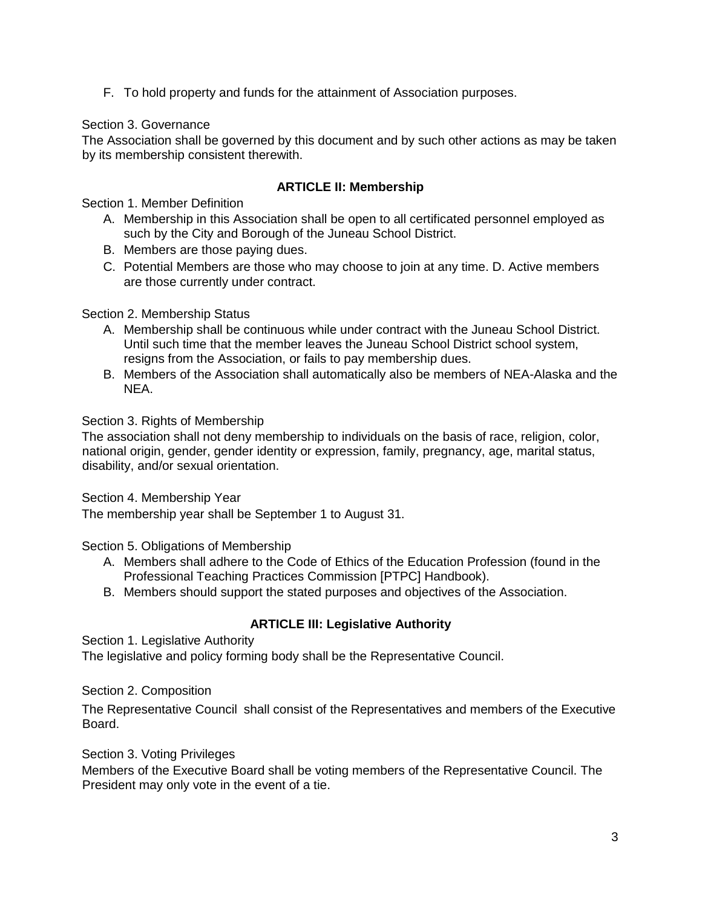F. To hold property and funds for the attainment of Association purposes.

## Section 3. Governance

The Association shall be governed by this document and by such other actions as may be taken by its membership consistent therewith.

# **ARTICLE II: Membership**

Section 1. Member Definition

- A. Membership in this Association shall be open to all certificated personnel employed as such by the City and Borough of the Juneau School District.
- B. Members are those paying dues.
- C. Potential Members are those who may choose to join at any time. D. Active members are those currently under contract.

### Section 2. Membership Status

- A. Membership shall be continuous while under contract with the Juneau School District. Until such time that the member leaves the Juneau School District school system, resigns from the Association, or fails to pay membership dues.
- B. Members of the Association shall automatically also be members of NEA-Alaska and the NEA.

Section 3. Rights of Membership

The association shall not deny membership to individuals on the basis of race, religion, color, national origin, gender, gender identity or expression, family, pregnancy, age, marital status, disability, and/or sexual orientation.

Section 4. Membership Year

The membership year shall be September 1 to August 31.

Section 5. Obligations of Membership

- A. Members shall adhere to the Code of Ethics of the Education Profession (found in the Professional Teaching Practices Commission [PTPC] Handbook).
- B. Members should support the stated purposes and objectives of the Association.

## **ARTICLE III: Legislative Authority**

Section 1. Legislative Authority

The legislative and policy forming body shall be the Representative Council.

Section 2. Composition

The Representative Council shall consist of the Representatives and members of the Executive Board.

Section 3. Voting Privileges

Members of the Executive Board shall be voting members of the Representative Council. The President may only vote in the event of a tie.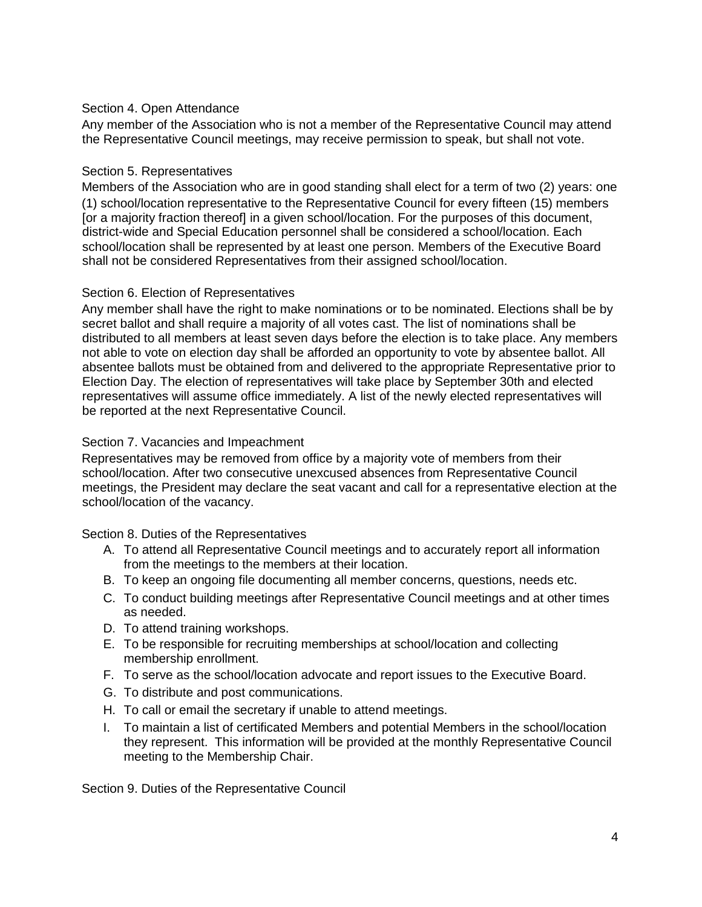## Section 4. Open Attendance

Any member of the Association who is not a member of the Representative Council may attend the Representative Council meetings, may receive permission to speak, but shall not vote.

## Section 5. Representatives

Members of the Association who are in good standing shall elect for a term of two (2) years: one (1) school/location representative to the Representative Council for every fifteen (15) members [or a majority fraction thereof] in a given school/location. For the purposes of this document, district-wide and Special Education personnel shall be considered a school/location. Each school/location shall be represented by at least one person. Members of the Executive Board shall not be considered Representatives from their assigned school/location.

# Section 6. Election of Representatives

Any member shall have the right to make nominations or to be nominated. Elections shall be by secret ballot and shall require a majority of all votes cast. The list of nominations shall be distributed to all members at least seven days before the election is to take place. Any members not able to vote on election day shall be afforded an opportunity to vote by absentee ballot. All absentee ballots must be obtained from and delivered to the appropriate Representative prior to Election Day. The election of representatives will take place by September 30th and elected representatives will assume office immediately. A list of the newly elected representatives will be reported at the next Representative Council.

# Section 7. Vacancies and Impeachment

Representatives may be removed from office by a majority vote of members from their school/location. After two consecutive unexcused absences from Representative Council meetings, the President may declare the seat vacant and call for a representative election at the school/location of the vacancy.

## Section 8. Duties of the Representatives

- A. To attend all Representative Council meetings and to accurately report all information from the meetings to the members at their location.
- B. To keep an ongoing file documenting all member concerns, questions, needs etc.
- C. To conduct building meetings after Representative Council meetings and at other times as needed.
- D. To attend training workshops.
- E. To be responsible for recruiting memberships at school/location and collecting membership enrollment.
- F. To serve as the school/location advocate and report issues to the Executive Board.
- G. To distribute and post communications.
- H. To call or email the secretary if unable to attend meetings.
- I. To maintain a list of certificated Members and potential Members in the school/location they represent. This information will be provided at the monthly Representative Council meeting to the Membership Chair.

Section 9. Duties of the Representative Council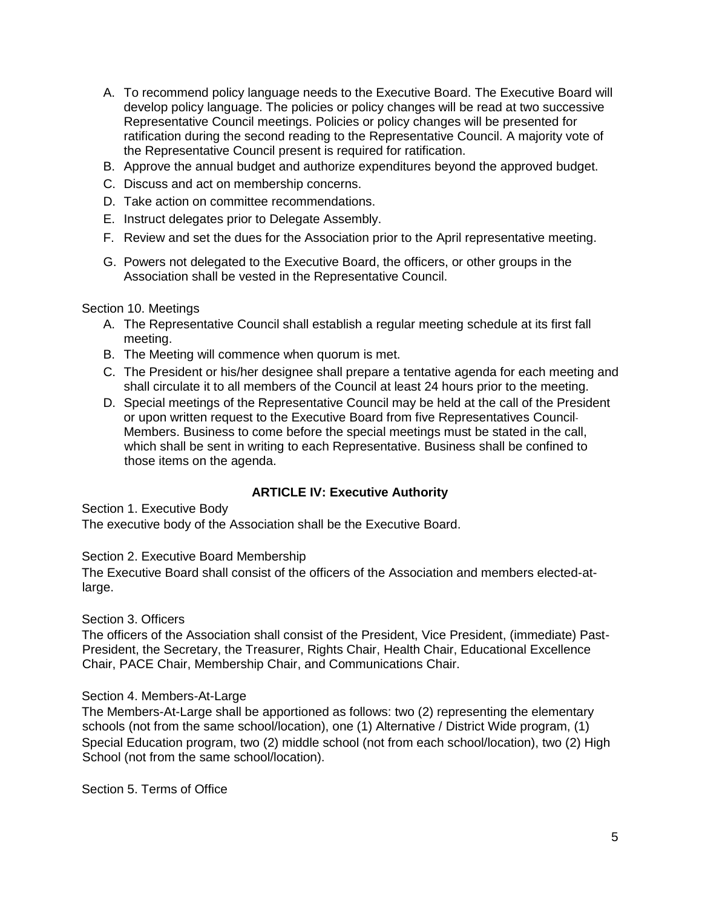- A. To recommend policy language needs to the Executive Board. The Executive Board will develop policy language. The policies or policy changes will be read at two successive Representative Council meetings. Policies or policy changes will be presented for ratification during the second reading to the Representative Council. A majority vote of the Representative Council present is required for ratification.
- B. Approve the annual budget and authorize expenditures beyond the approved budget.
- C. Discuss and act on membership concerns.
- D. Take action on committee recommendations.
- E. Instruct delegates prior to Delegate Assembly.
- F. Review and set the dues for the Association prior to the April representative meeting.
- G. Powers not delegated to the Executive Board, the officers, or other groups in the Association shall be vested in the Representative Council.

Section 10. Meetings

- A. The Representative Council shall establish a regular meeting schedule at its first fall meeting.
- B. The Meeting will commence when quorum is met.
- C. The President or his/her designee shall prepare a tentative agenda for each meeting and shall circulate it to all members of the Council at least 24 hours prior to the meeting.
- D. Special meetings of the Representative Council may be held at the call of the President or upon written request to the Executive Board from five Representatives Council Members. Business to come before the special meetings must be stated in the call, which shall be sent in writing to each Representative. Business shall be confined to those items on the agenda.

## **ARTICLE IV: Executive Authority**

Section 1. Executive Body

The executive body of the Association shall be the Executive Board.

Section 2. Executive Board Membership

The Executive Board shall consist of the officers of the Association and members elected-atlarge.

Section 3. Officers

The officers of the Association shall consist of the President, Vice President, (immediate) Past-President, the Secretary, the Treasurer, Rights Chair, Health Chair, Educational Excellence Chair, PACE Chair, Membership Chair, and Communications Chair.

### Section 4. Members-At-Large

The Members-At-Large shall be apportioned as follows: two (2) representing the elementary schools (not from the same school/location), one (1) Alternative / District Wide program, (1) Special Education program, two (2) middle school (not from each school/location), two (2) High School (not from the same school/location).

Section 5. Terms of Office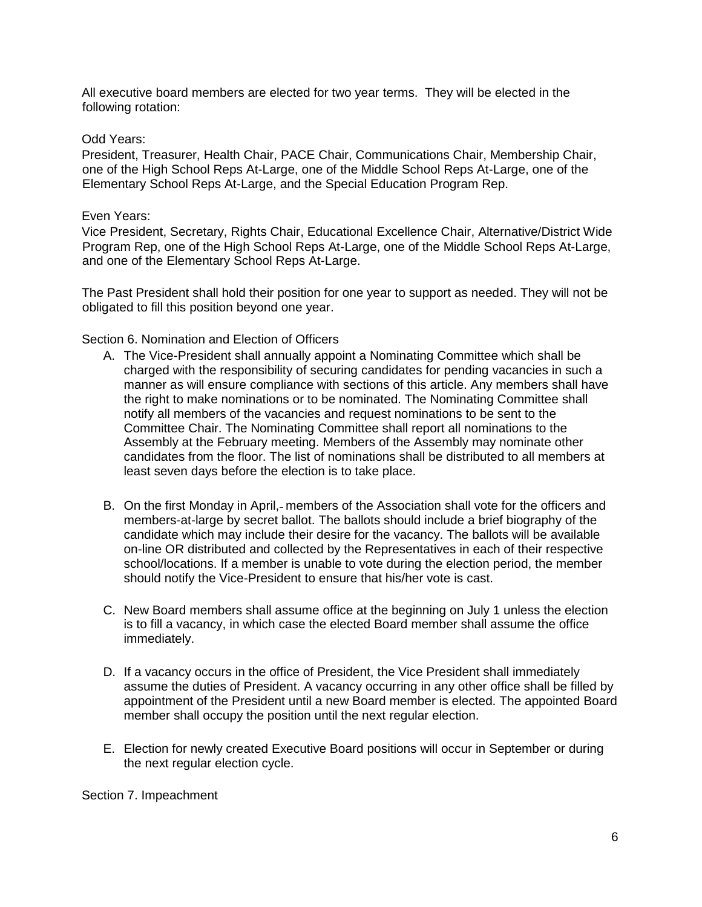All executive board members are elected for two year terms. They will be elected in the following rotation:

#### Odd Years:

President, Treasurer, Health Chair, PACE Chair, Communications Chair, Membership Chair, one of the High School Reps At-Large, one of the Middle School Reps At-Large, one of the Elementary School Reps At-Large, and the Special Education Program Rep.

#### Even Years:

Vice President, Secretary, Rights Chair, Educational Excellence Chair, Alternative/District Wide Program Rep, one of the High School Reps At-Large, one of the Middle School Reps At-Large, and one of the Elementary School Reps At-Large.

The Past President shall hold their position for one year to support as needed. They will not be obligated to fill this position beyond one year.

Section 6. Nomination and Election of Officers

- A. The Vice-President shall annually appoint a Nominating Committee which shall be charged with the responsibility of securing candidates for pending vacancies in such a manner as will ensure compliance with sections of this article. Any members shall have the right to make nominations or to be nominated. The Nominating Committee shall notify all members of the vacancies and request nominations to be sent to the Committee Chair. The Nominating Committee shall report all nominations to the Assembly at the February meeting. Members of the Assembly may nominate other candidates from the floor. The list of nominations shall be distributed to all members at least seven days before the election is to take place.
- B. On the first Monday in April, members of the Association shall vote for the officers and members-at-large by secret ballot. The ballots should include a brief biography of the candidate which may include their desire for the vacancy. The ballots will be available on-line OR distributed and collected by the Representatives in each of their respective school/locations. If a member is unable to vote during the election period, the member should notify the Vice-President to ensure that his/her vote is cast.
- C. New Board members shall assume office at the beginning on July 1 unless the election is to fill a vacancy, in which case the elected Board member shall assume the office immediately.
- D. If a vacancy occurs in the office of President, the Vice President shall immediately assume the duties of President. A vacancy occurring in any other office shall be filled by appointment of the President until a new Board member is elected. The appointed Board member shall occupy the position until the next regular election.
- E. Election for newly created Executive Board positions will occur in September or during the next regular election cycle.

Section 7. Impeachment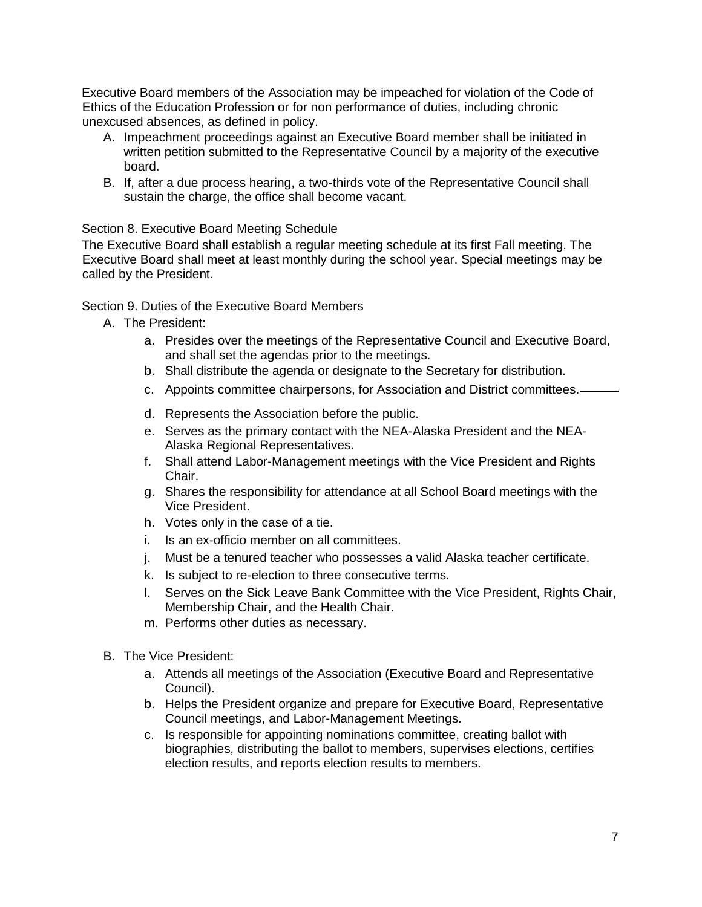Executive Board members of the Association may be impeached for violation of the Code of Ethics of the Education Profession or for non performance of duties, including chronic unexcused absences, as defined in policy.

- A. Impeachment proceedings against an Executive Board member shall be initiated in written petition submitted to the Representative Council by a majority of the executive board.
- B. If, after a due process hearing, a two-thirds vote of the Representative Council shall sustain the charge, the office shall become vacant.

### Section 8. Executive Board Meeting Schedule

The Executive Board shall establish a regular meeting schedule at its first Fall meeting. The Executive Board shall meet at least monthly during the school year. Special meetings may be called by the President.

Section 9. Duties of the Executive Board Members

- A. The President:
	- a. Presides over the meetings of the Representative Council and Executive Board, and shall set the agendas prior to the meetings.
	- b. Shall distribute the agenda or designate to the Secretary for distribution.
	- c. Appoints committee chairpersons, for Association and District committees.
	- d. Represents the Association before the public.
	- e. Serves as the primary contact with the NEA-Alaska President and the NEA-Alaska Regional Representatives.
	- f. Shall attend Labor-Management meetings with the Vice President and Rights Chair.
	- g. Shares the responsibility for attendance at all School Board meetings with the Vice President.
	- h. Votes only in the case of a tie.
	- i. Is an ex-officio member on all committees.
	- j. Must be a tenured teacher who possesses a valid Alaska teacher certificate.
	- k. Is subject to re-election to three consecutive terms.
	- l. Serves on the Sick Leave Bank Committee with the Vice President, Rights Chair, Membership Chair, and the Health Chair.
	- m. Performs other duties as necessary.
- B. The Vice President:
	- a. Attends all meetings of the Association (Executive Board and Representative Council).
	- b. Helps the President organize and prepare for Executive Board, Representative Council meetings, and Labor-Management Meetings.
	- c. Is responsible for appointing nominations committee, creating ballot with biographies, distributing the ballot to members, supervises elections, certifies election results, and reports election results to members.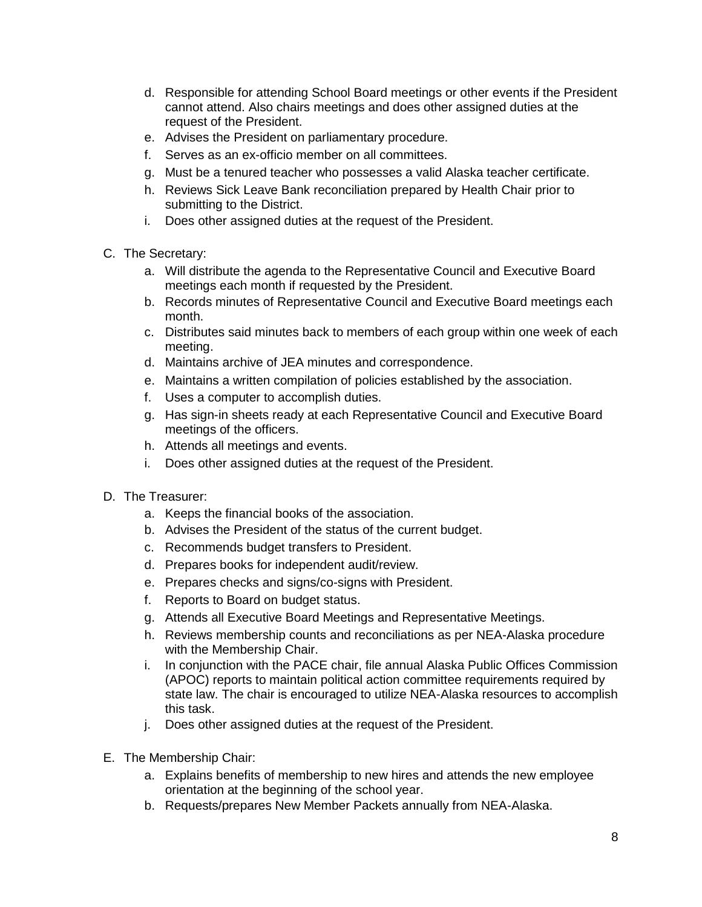- d. Responsible for attending School Board meetings or other events if the President cannot attend. Also chairs meetings and does other assigned duties at the request of the President.
- e. Advises the President on parliamentary procedure.
- f. Serves as an ex-officio member on all committees.
- g. Must be a tenured teacher who possesses a valid Alaska teacher certificate.
- h. Reviews Sick Leave Bank reconciliation prepared by Health Chair prior to submitting to the District.
- i. Does other assigned duties at the request of the President.
- C. The Secretary:
	- a. Will distribute the agenda to the Representative Council and Executive Board meetings each month if requested by the President.
	- b. Records minutes of Representative Council and Executive Board meetings each month.
	- c. Distributes said minutes back to members of each group within one week of each meeting.
	- d. Maintains archive of JEA minutes and correspondence.
	- e. Maintains a written compilation of policies established by the association.
	- f. Uses a computer to accomplish duties.
	- g. Has sign-in sheets ready at each Representative Council and Executive Board meetings of the officers.
	- h. Attends all meetings and events.
	- i. Does other assigned duties at the request of the President.
- D. The Treasurer:
	- a. Keeps the financial books of the association.
	- b. Advises the President of the status of the current budget.
	- c. Recommends budget transfers to President.
	- d. Prepares books for independent audit/review.
	- e. Prepares checks and signs/co-signs with President.
	- f. Reports to Board on budget status.
	- g. Attends all Executive Board Meetings and Representative Meetings.
	- h. Reviews membership counts and reconciliations as per NEA-Alaska procedure with the Membership Chair.
	- i. In conjunction with the PACE chair, file annual Alaska Public Offices Commission (APOC) reports to maintain political action committee requirements required by state law. The chair is encouraged to utilize NEA-Alaska resources to accomplish this task.
	- j. Does other assigned duties at the request of the President.
- E. The Membership Chair:
	- a. Explains benefits of membership to new hires and attends the new employee orientation at the beginning of the school year.
	- b. Requests/prepares New Member Packets annually from NEA-Alaska.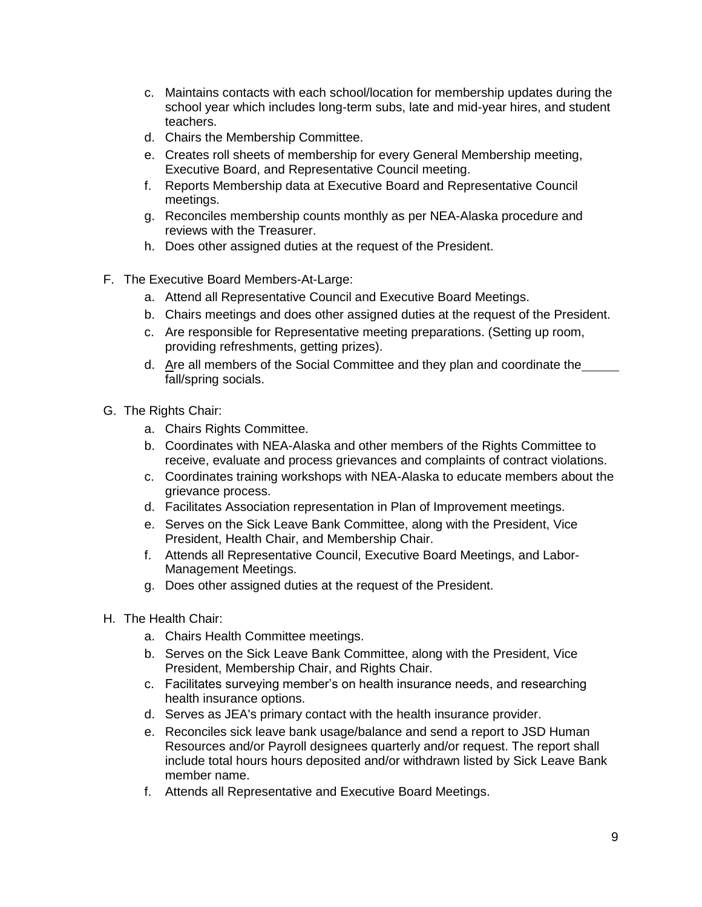- c. Maintains contacts with each school/location for membership updates during the school year which includes long-term subs, late and mid-year hires, and student teachers.
- d. Chairs the Membership Committee.
- e. Creates roll sheets of membership for every General Membership meeting, Executive Board, and Representative Council meeting.
- f. Reports Membership data at Executive Board and Representative Council meetings.
- g. Reconciles membership counts monthly as per NEA-Alaska procedure and reviews with the Treasurer.
- h. Does other assigned duties at the request of the President.
- F. The Executive Board Members-At-Large:
	- a. Attend all Representative Council and Executive Board Meetings.
	- b. Chairs meetings and does other assigned duties at the request of the President.
	- c. Are responsible for Representative meeting preparations. (Setting up room, providing refreshments, getting prizes).
	- d. Are all members of the Social Committee and they plan and coordinate the fall/spring socials.
- G. The Rights Chair:
	- a. Chairs Rights Committee.
	- b. Coordinates with NEA-Alaska and other members of the Rights Committee to receive, evaluate and process grievances and complaints of contract violations.
	- c. Coordinates training workshops with NEA-Alaska to educate members about the grievance process.
	- d. Facilitates Association representation in Plan of Improvement meetings.
	- e. Serves on the Sick Leave Bank Committee, along with the President, Vice President, Health Chair, and Membership Chair.
	- f. Attends all Representative Council, Executive Board Meetings, and Labor-Management Meetings.
	- g. Does other assigned duties at the request of the President.
- H. The Health Chair:
	- a. Chairs Health Committee meetings.
	- b. Serves on the Sick Leave Bank Committee, along with the President, Vice President, Membership Chair, and Rights Chair.
	- c. Facilitates surveying member's on health insurance needs, and researching health insurance options.
	- d. Serves as JEA's primary contact with the health insurance provider.
	- e. Reconciles sick leave bank usage/balance and send a report to JSD Human Resources and/or Payroll designees quarterly and/or request. The report shall include total hours hours deposited and/or withdrawn listed by Sick Leave Bank member name.
	- f. Attends all Representative and Executive Board Meetings.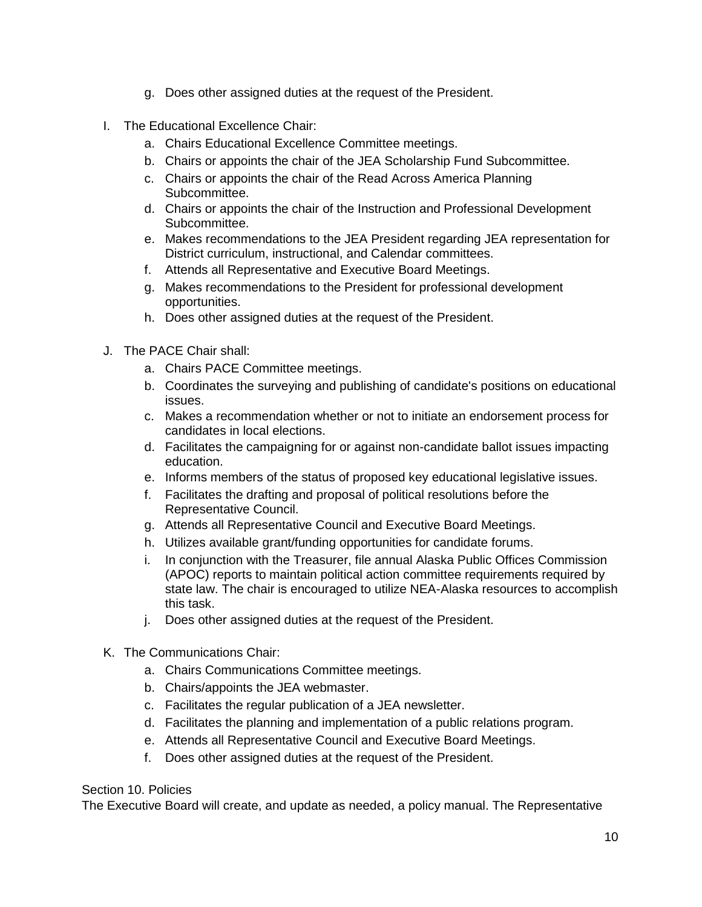- g. Does other assigned duties at the request of the President.
- I. The Educational Excellence Chair:
	- a. Chairs Educational Excellence Committee meetings.
	- b. Chairs or appoints the chair of the JEA Scholarship Fund Subcommittee.
	- c. Chairs or appoints the chair of the Read Across America Planning Subcommittee.
	- d. Chairs or appoints the chair of the Instruction and Professional Development Subcommittee.
	- e. Makes recommendations to the JEA President regarding JEA representation for District curriculum, instructional, and Calendar committees.
	- f. Attends all Representative and Executive Board Meetings.
	- g. Makes recommendations to the President for professional development opportunities.
	- h. Does other assigned duties at the request of the President.
- J. The PACE Chair shall:
	- a. Chairs PACE Committee meetings.
	- b. Coordinates the surveying and publishing of candidate's positions on educational issues.
	- c. Makes a recommendation whether or not to initiate an endorsement process for candidates in local elections.
	- d. Facilitates the campaigning for or against non-candidate ballot issues impacting education.
	- e. Informs members of the status of proposed key educational legislative issues.
	- f. Facilitates the drafting and proposal of political resolutions before the Representative Council.
	- g. Attends all Representative Council and Executive Board Meetings.
	- h. Utilizes available grant/funding opportunities for candidate forums.
	- i. In conjunction with the Treasurer, file annual Alaska Public Offices Commission (APOC) reports to maintain political action committee requirements required by state law. The chair is encouraged to utilize NEA-Alaska resources to accomplish this task.
	- j. Does other assigned duties at the request of the President.
- K. The Communications Chair:
	- a. Chairs Communications Committee meetings.
	- b. Chairs/appoints the JEA webmaster.
	- c. Facilitates the regular publication of a JEA newsletter.
	- d. Facilitates the planning and implementation of a public relations program.
	- e. Attends all Representative Council and Executive Board Meetings.
	- f. Does other assigned duties at the request of the President.

## Section 10. Policies

The Executive Board will create, and update as needed, a policy manual. The Representative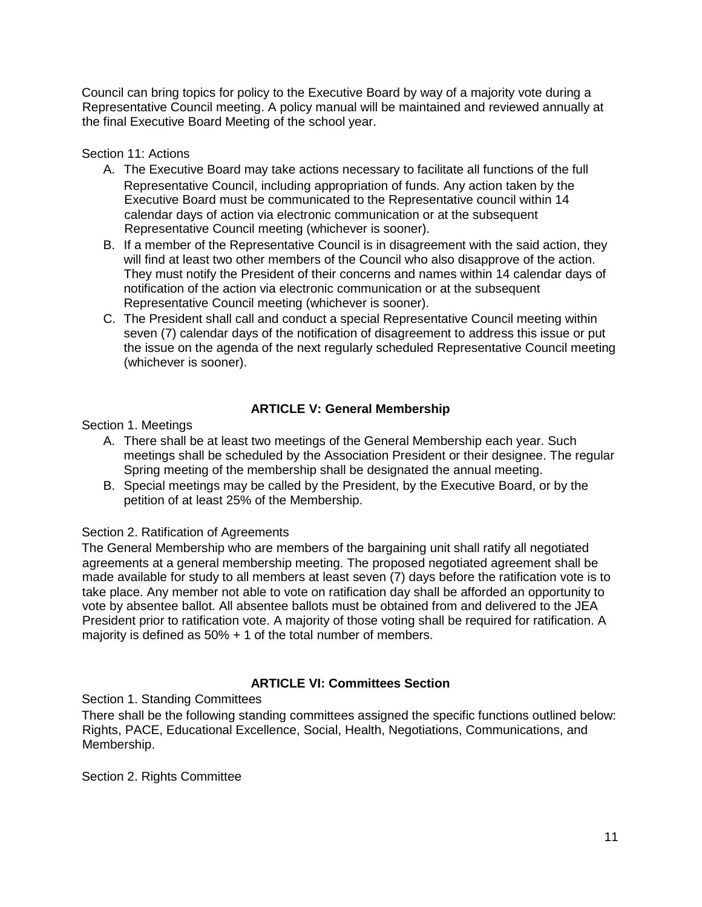Council can bring topics for policy to the Executive Board by way of a majority vote during a Representative Council meeting. A policy manual will be maintained and reviewed annually at the final Executive Board Meeting of the school year.

### Section 11: Actions

- A. The Executive Board may take actions necessary to facilitate all functions of the full Representative Council, including appropriation of funds. Any action taken by the Executive Board must be communicated to the Representative council within 14 calendar days of action via electronic communication or at the subsequent Representative Council meeting (whichever is sooner).
- B. If a member of the Representative Council is in disagreement with the said action, they will find at least two other members of the Council who also disapprove of the action. They must notify the President of their concerns and names within 14 calendar days of notification of the action via electronic communication or at the subsequent Representative Council meeting (whichever is sooner).
- C. The President shall call and conduct a special Representative Council meeting within seven (7) calendar days of the notification of disagreement to address this issue or put the issue on the agenda of the next regularly scheduled Representative Council meeting (whichever is sooner).

## **ARTICLE V: General Membership**

Section 1. Meetings

- A. There shall be at least two meetings of the General Membership each year. Such meetings shall be scheduled by the Association President or their designee. The regular Spring meeting of the membership shall be designated the annual meeting.
- B. Special meetings may be called by the President, by the Executive Board, or by the petition of at least 25% of the Membership.

## Section 2. Ratification of Agreements

The General Membership who are members of the bargaining unit shall ratify all negotiated agreements at a general membership meeting. The proposed negotiated agreement shall be made available for study to all members at least seven (7) days before the ratification vote is to take place. Any member not able to vote on ratification day shall be afforded an opportunity to vote by absentee ballot. All absentee ballots must be obtained from and delivered to the JEA President prior to ratification vote. A majority of those voting shall be required for ratification. A majority is defined as 50% + 1 of the total number of members.

# **ARTICLE VI: Committees Section**

Section 1. Standing Committees

There shall be the following standing committees assigned the specific functions outlined below: Rights, PACE, Educational Excellence, Social, Health, Negotiations, Communications, and Membership.

Section 2. Rights Committee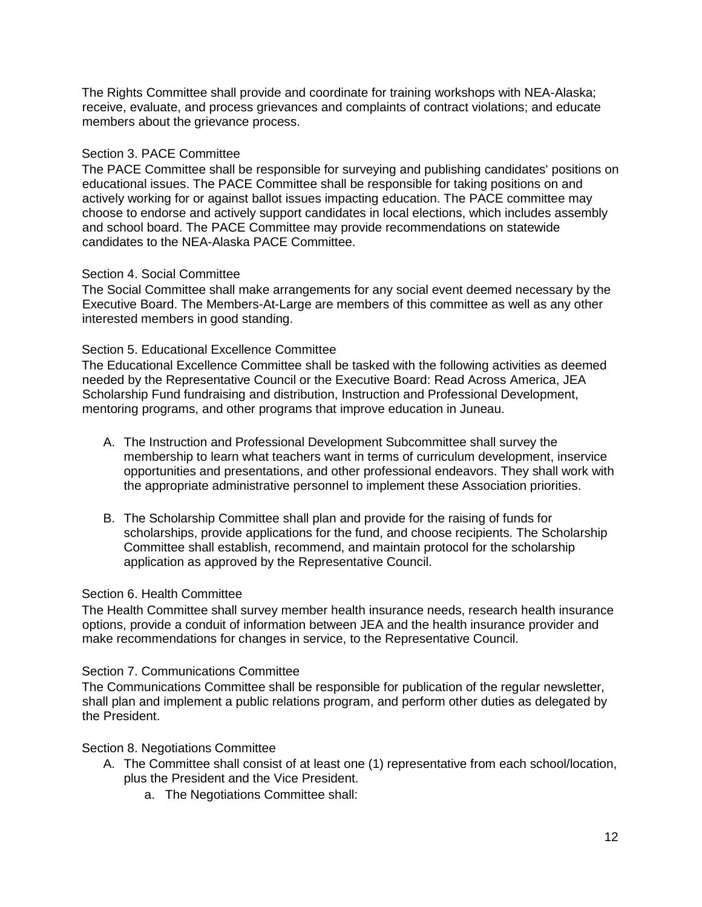The Rights Committee shall provide and coordinate for training workshops with NEA-Alaska; receive, evaluate, and process grievances and complaints of contract violations; and educate members about the grievance process.

### Section 3. PACE Committee

The PACE Committee shall be responsible for surveying and publishing candidates' positions on educational issues. The PACE Committee shall be responsible for taking positions on and actively working for or against ballot issues impacting education. The PACE committee may choose to endorse and actively support candidates in local elections, which includes assembly and school board. The PACE Committee may provide recommendations on statewide candidates to the NEA-Alaska PACE Committee.

#### Section 4. Social Committee

The Social Committee shall make arrangements for any social event deemed necessary by the Executive Board. The Members-At-Large are members of this committee as well as any other interested members in good standing.

### Section 5. Educational Excellence Committee

The Educational Excellence Committee shall be tasked with the following activities as deemed needed by the Representative Council or the Executive Board: Read Across America, JEA Scholarship Fund fundraising and distribution, Instruction and Professional Development, mentoring programs, and other programs that improve education in Juneau.

- A. The Instruction and Professional Development Subcommittee shall survey the membership to learn what teachers want in terms of curriculum development, inservice opportunities and presentations, and other professional endeavors. They shall work with the appropriate administrative personnel to implement these Association priorities.
- B. The Scholarship Committee shall plan and provide for the raising of funds for scholarships, provide applications for the fund, and choose recipients. The Scholarship Committee shall establish, recommend, and maintain protocol for the scholarship application as approved by the Representative Council.

#### Section 6. Health Committee

The Health Committee shall survey member health insurance needs, research health insurance options, provide a conduit of information between JEA and the health insurance provider and make recommendations for changes in service, to the Representative Council.

#### Section 7. Communications Committee

The Communications Committee shall be responsible for publication of the regular newsletter, shall plan and implement a public relations program, and perform other duties as delegated by the President.

#### Section 8. Negotiations Committee

- A. The Committee shall consist of at least one (1) representative from each school/location, plus the President and the Vice President.
	- a. The Negotiations Committee shall: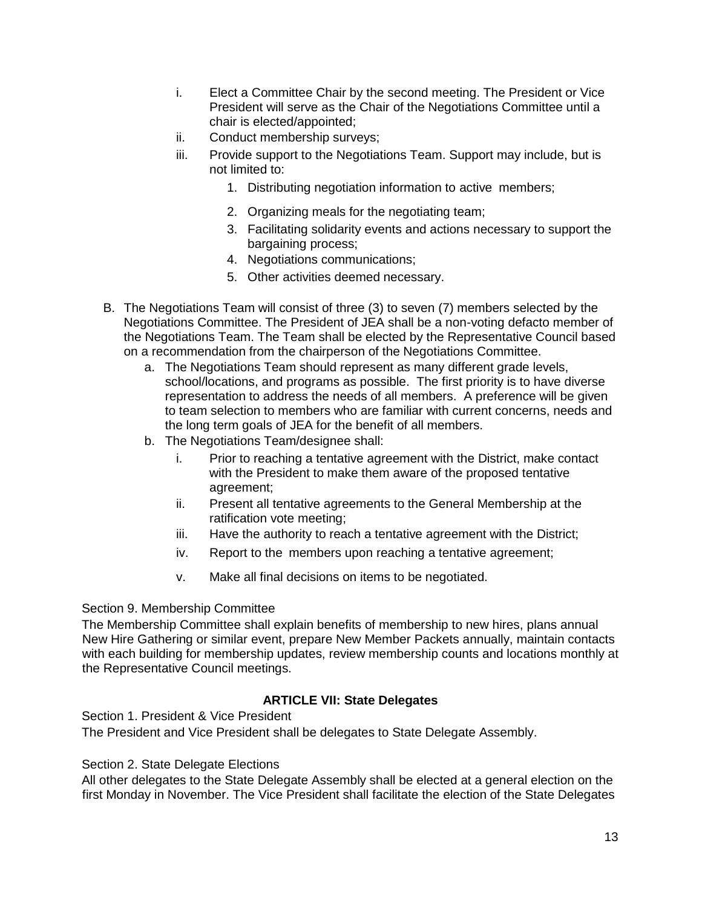- i. Elect a Committee Chair by the second meeting. The President or Vice President will serve as the Chair of the Negotiations Committee until a chair is elected/appointed;
- ii. Conduct membership surveys;
- iii. Provide support to the Negotiations Team. Support may include, but is not limited to:
	- 1. Distributing negotiation information to active members;
	- 2. Organizing meals for the negotiating team;
	- 3. Facilitating solidarity events and actions necessary to support the bargaining process;
	- 4. Negotiations communications;
	- 5. Other activities deemed necessary.
- B. The Negotiations Team will consist of three (3) to seven (7) members selected by the Negotiations Committee. The President of JEA shall be a non-voting defacto member of the Negotiations Team. The Team shall be elected by the Representative Council based on a recommendation from the chairperson of the Negotiations Committee.
	- a. The Negotiations Team should represent as many different grade levels, school/locations, and programs as possible. The first priority is to have diverse representation to address the needs of all members. A preference will be given to team selection to members who are familiar with current concerns, needs and the long term goals of JEA for the benefit of all members.
	- b. The Negotiations Team/designee shall:
		- i. Prior to reaching a tentative agreement with the District, make contact with the President to make them aware of the proposed tentative agreement;
		- ii. Present all tentative agreements to the General Membership at the ratification vote meeting;
		- iii. Have the authority to reach a tentative agreement with the District;
		- iv. Report to the members upon reaching a tentative agreement;
		- v. Make all final decisions on items to be negotiated.

### Section 9. Membership Committee

The Membership Committee shall explain benefits of membership to new hires, plans annual New Hire Gathering or similar event, prepare New Member Packets annually, maintain contacts with each building for membership updates, review membership counts and locations monthly at the Representative Council meetings.

## **ARTICLE VII: State Delegates**

### Section 1. President & Vice President

The President and Vice President shall be delegates to State Delegate Assembly.

### Section 2. State Delegate Elections

All other delegates to the State Delegate Assembly shall be elected at a general election on the first Monday in November. The Vice President shall facilitate the election of the State Delegates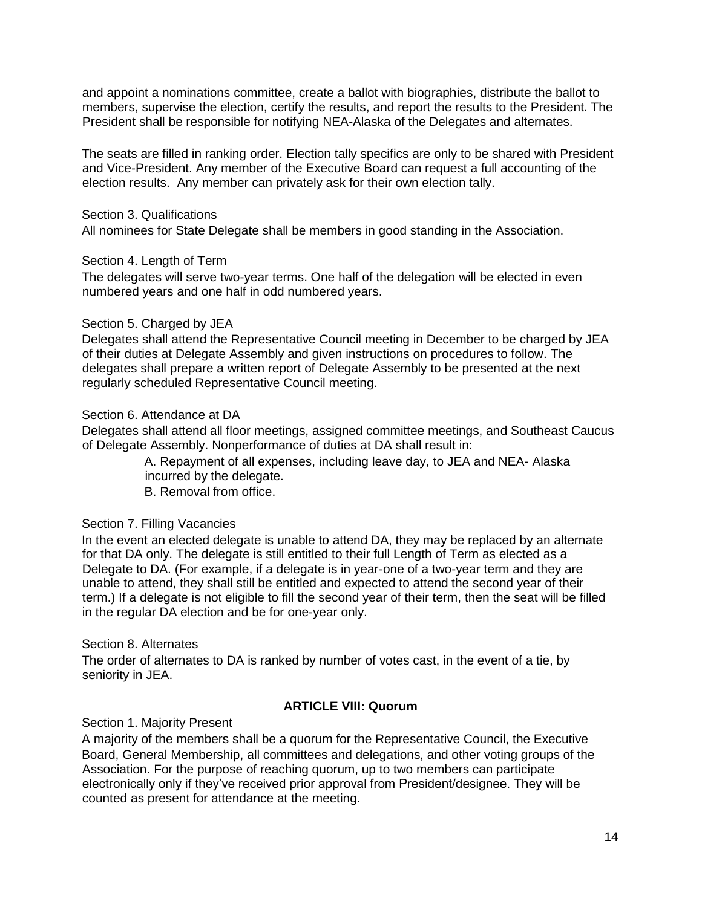and appoint a nominations committee, create a ballot with biographies, distribute the ballot to members, supervise the election, certify the results, and report the results to the President. The President shall be responsible for notifying NEA-Alaska of the Delegates and alternates.

The seats are filled in ranking order. Election tally specifics are only to be shared with President and Vice-President. Any member of the Executive Board can request a full accounting of the election results. Any member can privately ask for their own election tally.

#### Section 3. Qualifications

All nominees for State Delegate shall be members in good standing in the Association.

#### Section 4. Length of Term

The delegates will serve two-year terms. One half of the delegation will be elected in even numbered years and one half in odd numbered years.

#### Section 5. Charged by JEA

Delegates shall attend the Representative Council meeting in December to be charged by JEA of their duties at Delegate Assembly and given instructions on procedures to follow. The delegates shall prepare a written report of Delegate Assembly to be presented at the next regularly scheduled Representative Council meeting.

#### Section 6. Attendance at DA

Delegates shall attend all floor meetings, assigned committee meetings, and Southeast Caucus of Delegate Assembly. Nonperformance of duties at DA shall result in:

> A. Repayment of all expenses, including leave day, to JEA and NEA- Alaska incurred by the delegate.

B. Removal from office.

#### Section 7. Filling Vacancies

In the event an elected delegate is unable to attend DA, they may be replaced by an alternate for that DA only. The delegate is still entitled to their full Length of Term as elected as a Delegate to DA. (For example, if a delegate is in year-one of a two-year term and they are unable to attend, they shall still be entitled and expected to attend the second year of their term.) If a delegate is not eligible to fill the second year of their term, then the seat will be filled in the regular DA election and be for one-year only.

### Section 8. Alternates

The order of alternates to DA is ranked by number of votes cast, in the event of a tie, by seniority in JEA.

### **ARTICLE VIII: Quorum**

Section 1. Majority Present

A majority of the members shall be a quorum for the Representative Council, the Executive Board, General Membership, all committees and delegations, and other voting groups of the Association. For the purpose of reaching quorum, up to two members can participate electronically only if they've received prior approval from President/designee. They will be counted as present for attendance at the meeting.